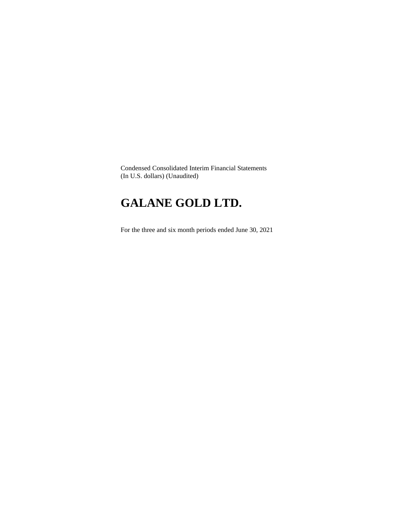Condensed Consolidated Interim Financial Statements (In U.S. dollars) (Unaudited)

# **GALANE GOLD LTD.**

For the three and six month periods ended June 30, 2021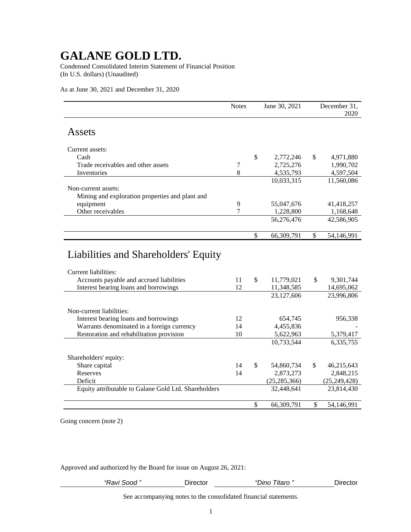Condensed Consolidated Interim Statement of Financial Position (In U.S. dollars) (Unaudited)

As at June 30, 2021 and December 31, 2020

|                                                 | <b>Notes</b> | June 30, 2021    |     | December 31.<br>2020 |
|-------------------------------------------------|--------------|------------------|-----|----------------------|
| Assets                                          |              |                  |     |                      |
| Current assets:                                 |              |                  |     |                      |
| Cash                                            |              | \$<br>2,772,246  | \$  | 4,971,880            |
| Trade receivables and other assets              | 7            | 2,725,276        |     | 1,990,702            |
| Inventories                                     | 8            | 4,535,793        |     | 4,597,504            |
|                                                 |              | 10,033,315       |     | 11,560,086           |
| Non-current assets:                             |              |                  |     |                      |
| Mining and exploration properties and plant and |              |                  |     |                      |
| equipment                                       | 9            | 55,047,676       |     | 41,418,257           |
| Other receivables                               | 7            | 1,228,800        |     | 1,168,648            |
|                                                 |              | 56,276,476       |     | 42,586,905           |
|                                                 |              | \$<br>66,309,791 | \$  | 54,146,991           |
| Liabilities and Shareholders' Equity            |              |                  |     |                      |
| Current liabilities:                            |              |                  |     |                      |
| Accounts payable and accrued liabilities        | 11           | \$<br>11,779,021 | \$. | 9,301,744            |
| Interest bearing loans and borrowings           | 12           | 11,348,585       |     | 14,695,062           |
|                                                 |              | 23,127,606       |     | 23,996,806           |
| Non-current liabilities:                        |              |                  |     |                      |
| Interest bearing loans and borrowings           | 12           | 654,745          |     | 956,338              |
| Warrants denominated in a foreign currency      | 14           | 4,455,836        |     |                      |

| Restoration and rehabilitation provision             | 10 | 5,622,963        | 5,379,417        |
|------------------------------------------------------|----|------------------|------------------|
|                                                      |    | 10,733,544       | 6,335,755        |
| Shareholders' equity:                                |    |                  |                  |
| Share capital                                        | 14 | \$<br>54,860,734 | \$<br>46,215,643 |
| Reserves                                             | 14 | 2,873,273        | 2,848,215        |
| Deficit                                              |    | (25, 285, 366)   | (25, 249, 428)   |
| Equity attributable to Galane Gold Ltd. Shareholders |    | 32,448,641       | 23,814,430       |
|                                                      |    |                  |                  |
|                                                      |    | \$<br>66,309,791 | 54,146,991       |

Going concern (note 2)

Approved and authorized by the Board for issue on August 26, 2021:

| "Ravi Sood " | Jirector | i itaro<br>onno | ⊃ırector |
|--------------|----------|-----------------|----------|
|              |          |                 |          |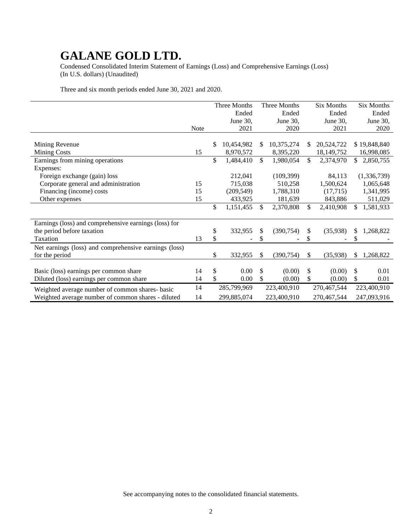Condensed Consolidated Interim Statement of Earnings (Loss) and Comprehensive Earnings (Loss) (In U.S. dollars) (Unaudited)

Three and six month periods ended June 30, 2021 and 2020.

|                                                       |      |    | Three Months |              | Three Months |              | <b>Six Months</b> | <b>Six Months</b> |
|-------------------------------------------------------|------|----|--------------|--------------|--------------|--------------|-------------------|-------------------|
|                                                       |      |    | Ended        |              | Ended        |              | Ended             | Ended             |
|                                                       |      |    | June 30,     |              | June 30,     |              | June 30,          | June 30,          |
|                                                       | Note |    | 2021         |              | 2020         |              | 2021              | 2020              |
|                                                       |      |    |              |              |              |              |                   |                   |
| Mining Revenue                                        |      | S. | 10,454,982   | \$.          | 10,375,274   | \$.          | 20,524,722        | \$19,848,840      |
| <b>Mining Costs</b>                                   | 15   |    | 8,970,572    |              | 8,395,220    |              | 18,149,752        | 16,998,085        |
| Earnings from mining operations                       |      | \$ | 1,484,410    | $\mathbb{S}$ | 1,980,054    | \$           | 2,374,970         | \$<br>2,850,755   |
| Expenses:                                             |      |    |              |              |              |              |                   |                   |
| Foreign exchange (gain) loss                          |      |    | 212,041      |              | (109, 399)   |              | 84,113            | (1,336,739)       |
| Corporate general and administration                  | 15   |    | 715,038      |              | 510,258      |              | 1,500,624         | 1,065,648         |
| Financing (income) costs                              | 15   |    | (209, 549)   |              | 1,788,310    |              | (17,715)          | 1,341,995         |
| Other expenses                                        | 15   |    | 433,925      |              | 181,639      |              | 843,886           | 511,029           |
|                                                       |      | \$ | 1,151,455    | \$           | 2,370,808    | \$           | 2,410,908         | \$<br>1,581,933   |
|                                                       |      |    |              |              |              |              |                   |                   |
| Earnings (loss) and comprehensive earnings (loss) for |      |    |              |              |              |              |                   |                   |
| the period before taxation                            |      | \$ | 332,955      | \$           | (390, 754)   | \$           | (35,938)          | \$<br>1,268,822   |
| Taxation                                              | 13   | \$ |              |              |              | \$           |                   |                   |
| Net earnings (loss) and comprehensive earnings (loss) |      |    |              |              |              |              |                   |                   |
| for the period                                        |      | \$ | 332,955      | \$           | (390, 754)   | $\mathbb{S}$ | (35,938)          | \$<br>1,268,822   |
|                                                       |      |    |              |              |              |              |                   |                   |
| Basic (loss) earnings per common share                | 14   | \$ | 0.00         | \$           | (0.00)       | \$           | (0.00)            | \$<br>0.01        |
| Diluted (loss) earnings per common share              | 14   | \$ | 0.00         | \$           | (0.00)       | \$           | (0.00)            | \$<br>0.01        |
| Weighted average number of common shares-basic        | 14   |    | 285,799,969  |              | 223,400,910  |              | 270,467,544       | 223,400,910       |
| Weighted average number of common shares - diluted    | 14   |    | 299,885,074  |              | 223,400,910  |              | 270,467,544       | 247,093,916       |
|                                                       |      |    |              |              |              |              |                   |                   |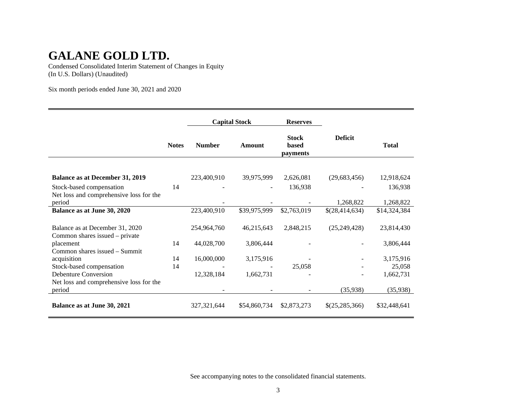Condensed Consolidated Interim Statement of Changes in Equity (In U.S. Dollars) (Unaudited)

Six month periods ended June 30, 2021 and 2020

|                                         |              | <b>Capital Stock</b> |               | <b>Reserves</b>                   |                |              |
|-----------------------------------------|--------------|----------------------|---------------|-----------------------------------|----------------|--------------|
|                                         | <b>Notes</b> | <b>Number</b>        | <b>Amount</b> | <b>Stock</b><br>based<br>payments | <b>Deficit</b> | <b>Total</b> |
|                                         |              |                      |               |                                   |                |              |
| <b>Balance as at December 31, 2019</b>  |              | 223,400,910          | 39,975,999    | 2,626,081                         | (29,683,456)   | 12,918,624   |
| Stock-based compensation                | 14           |                      |               | 136,938                           |                | 136,938      |
| Net loss and comprehensive loss for the |              |                      |               |                                   |                |              |
| period                                  |              |                      |               |                                   | 1,268,822      | 1,268,822    |
| Balance as at June 30, 2020             |              | 223,400,910          | \$39,975,999  | \$2,763,019                       | \$(28,414,634) | \$14,324,384 |
|                                         |              |                      |               |                                   |                |              |
| Balance as at December 31, 2020         |              | 254,964,760          | 46,215,643    | 2,848,215                         | (25, 249, 428) | 23,814,430   |
| Common shares issued – private          |              |                      |               |                                   |                |              |
| placement                               | 14           | 44,028,700           | 3,806,444     |                                   |                | 3,806,444    |
| Common shares issued - Summit           |              |                      |               |                                   |                |              |
| acquisition                             | 14           | 16,000,000           | 3,175,916     |                                   |                | 3,175,916    |
| Stock-based compensation                | 14           |                      |               | 25,058                            |                | 25,058       |
| <b>Debenture Conversion</b>             |              | 12,328,184           | 1,662,731     |                                   | ۰              | 1,662,731    |
| Net loss and comprehensive loss for the |              |                      |               |                                   |                |              |
| period                                  |              |                      |               |                                   | (35,938)       | (35,938)     |
| Balance as at June 30, 2021             |              | 327, 321, 644        | \$54,860,734  | \$2,873,273                       | \$(25,285,366) | \$32,448,641 |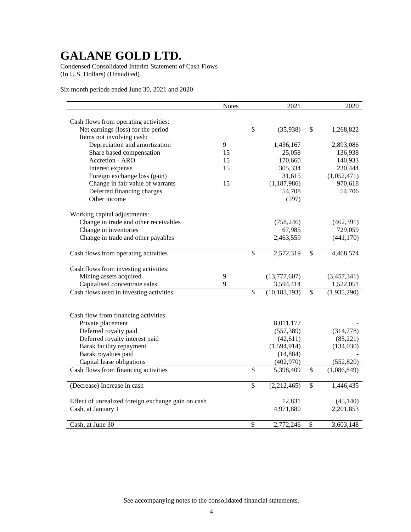Condensed Consolidated Interim Statement of Cash Flows (In U.S. Dollars) (Unaudited)

Six month periods ended June 30, 2021 and 2020

|                                                            | <b>Notes</b> |                          | 2021                |              | 2020                     |
|------------------------------------------------------------|--------------|--------------------------|---------------------|--------------|--------------------------|
|                                                            |              |                          |                     |              |                          |
| Cash flows from operating activities:                      |              | \$                       |                     |              |                          |
| Net earnings (loss) for the period                         |              |                          | (35,938)            | \$           | 1,268,822                |
| Items not involving cash:<br>Depreciation and amortization | 9            |                          |                     |              |                          |
| Share based compensation                                   | 15           |                          | 1,436,167<br>25,058 |              | 2,893,086<br>136,938     |
| Accretion - ARO                                            | 15           |                          | 170,660             |              | 140,933                  |
|                                                            | 15           |                          |                     |              |                          |
| Interest expense                                           |              |                          | 305,334             |              | 230,444                  |
| Foreign exchange loss (gain)                               |              |                          | 31,615              |              | (1,052,471)              |
| Change in fair value of warrants                           | 15           |                          | (1,187,986)         |              | 970,618                  |
| Deferred financing charges                                 |              |                          | 54,708              |              | 54,706                   |
| Other income                                               |              |                          | (597)               |              |                          |
| Working capital adjustments:                               |              |                          |                     |              |                          |
| Change in trade and other receivables                      |              |                          | (758, 246)          |              | (462,391)                |
| Change in inventories                                      |              |                          | 67,985              |              | 729,059                  |
| Change in trade and other payables                         |              |                          | 2,463,559           |              | (441, 170)               |
|                                                            |              |                          |                     |              |                          |
| Cash flows from operating activities                       |              | $\mathbb{S}$             | 2,572,319           | \$           | 4,468,574                |
|                                                            |              |                          |                     |              |                          |
| Cash flows from investing activities:                      |              |                          |                     |              |                          |
| Mining assets acquired                                     | 9            |                          | (13,777,607)        |              | (3,457,341)              |
| Capitalised concentrate sales                              | 9            |                          | 3,594,414           |              | 1,522,051                |
| Cash flows used in investing activities                    |              | $\overline{\mathcal{S}}$ | (10, 183, 193)      | $\mathbb{S}$ | $\overline{(1,935,290)}$ |
|                                                            |              |                          |                     |              |                          |
| Cash flow from financing activities:                       |              |                          |                     |              |                          |
| Private placement                                          |              |                          | 8,011,177           |              |                          |
| Deferred royalty paid                                      |              |                          | (557, 389)          |              | (314,778)                |
| Deferred royalty interest paid                             |              |                          | (42, 611)           |              | (85, 221)                |
| Barak facility repayment                                   |              |                          | (1,594,914)         |              | (134,030)                |
| Barak royalties paid                                       |              |                          | (14, 884)           |              |                          |
| Capital lease obligations                                  |              |                          | (402,970)           |              | (552, 820)               |
| Cash flows from financing activities                       |              | $\mathbb{S}$             | 5,398,409           | \$           | (1,086,849)              |
|                                                            |              |                          |                     |              |                          |
| (Decrease) Increase in cash                                |              | \$                       | (2,212,465)         | \$           | 1,446,435                |
| Effect of unrealized foreign exchange gain on cash         |              |                          | 12,831              |              | (45, 140)                |
| Cash, at January 1                                         |              |                          | 4,971,880           |              | 2,201,853                |
|                                                            |              |                          |                     |              |                          |
| Cash, at June 30                                           |              | $\mathcal{S}$            | 2,772,246           | \$           | 3,603,148                |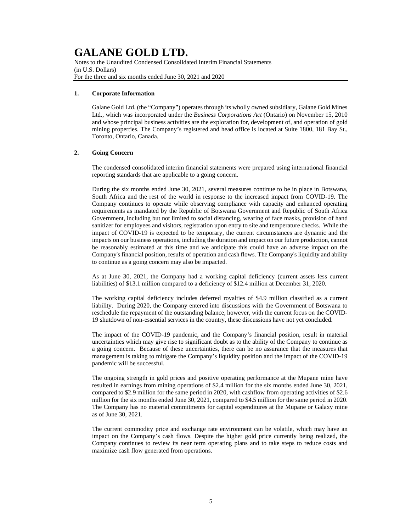Notes to the Unaudited Condensed Consolidated Interim Financial Statements (in U.S. Dollars) For the three and six months ended June 30, 2021 and 2020

### **1. Corporate Information**

Galane Gold Ltd. (the "Company") operates through its wholly owned subsidiary, Galane Gold Mines Ltd., which was incorporated under the *Business Corporations Act* (Ontario) on November 15, 2010 and whose principal business activities are the exploration for, development of, and operation of gold mining properties. The Company's registered and head office is located at Suite 1800, 181 Bay St., Toronto, Ontario, Canada.

### **2. Going Concern**

The condensed consolidated interim financial statements were prepared using international financial reporting standards that are applicable to a going concern.

During the six months ended June 30, 2021, several measures continue to be in place in Botswana, South Africa and the rest of the world in response to the increased impact from COVID-19. The Company continues to operate while observing compliance with capacity and enhanced operating requirements as mandated by the Republic of Botswana Government and Republic of South Africa Government, including but not limited to social distancing, wearing of face masks, provision of hand sanitizer for employees and visitors, registration upon entry to site and temperature checks. While the impact of COVID-19 is expected to be temporary, the current circumstances are dynamic and the impacts on our business operations, including the duration and impact on our future production, cannot be reasonably estimated at this time and we anticipate this could have an adverse impact on the Company's financial position, results of operation and cash flows. The Company's liquidity and ability to continue as a going concern may also be impacted.

As at June 30, 2021, the Company had a working capital deficiency (current assets less current liabilities) of \$13.1 million compared to a deficiency of \$12.4 million at December 31, 2020.

The working capital deficiency includes deferred royalties of \$4.9 million classified as a current liability. During 2020, the Company entered into discussions with the Government of Botswana to reschedule the repayment of the outstanding balance, however, with the current focus on the COVID-19 shutdown of non-essential services in the country, these discussions have not yet concluded.

The impact of the COVID-19 pandemic, and the Company's financial position, result in material uncertainties which may give rise to significant doubt as to the ability of the Company to continue as a going concern. Because of these uncertainties, there can be no assurance that the measures that management is taking to mitigate the Company's liquidity position and the impact of the COVID-19 pandemic will be successful.

The ongoing strength in gold prices and positive operating performance at the Mupane mine have resulted in earnings from mining operations of \$2.4 million for the six months ended June 30, 2021, compared to \$2.9 million for the same period in 2020, with cashflow from operating activities of \$2.6 million for the six months ended June 30, 2021, compared to \$4.5 million for the same period in 2020. The Company has no material commitments for capital expenditures at the Mupane or Galaxy mine as of June 30, 2021.

The current commodity price and exchange rate environment can be volatile, which may have an impact on the Company's cash flows. Despite the higher gold price currently being realized, the Company continues to review its near term operating plans and to take steps to reduce costs and maximize cash flow generated from operations.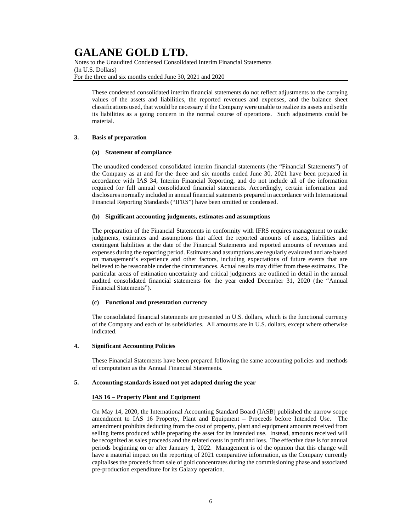Notes to the Unaudited Condensed Consolidated Interim Financial Statements (In U.S. Dollars) For the three and six months ended June 30, 2021 and 2020

These condensed consolidated interim financial statements do not reflect adjustments to the carrying values of the assets and liabilities, the reported revenues and expenses, and the balance sheet classifications used, that would be necessary if the Company were unable to realize its assets and settle its liabilities as a going concern in the normal course of operations. Such adjustments could be material.

### **3. Basis of preparation**

### **(a) Statement of compliance**

The unaudited condensed consolidated interim financial statements (the "Financial Statements") of the Company as at and for the three and six months ended June 30, 2021 have been prepared in accordance with IAS 34, Interim Financial Reporting, and do not include all of the information required for full annual consolidated financial statements. Accordingly, certain information and disclosures normally included in annual financial statements prepared in accordance with International Financial Reporting Standards ("IFRS") have been omitted or condensed.

### **(b) Significant accounting judgments, estimates and assumptions**

The preparation of the Financial Statements in conformity with IFRS requires management to make judgments, estimates and assumptions that affect the reported amounts of assets, liabilities and contingent liabilities at the date of the Financial Statements and reported amounts of revenues and expenses during the reporting period. Estimates and assumptions are regularly evaluated and are based on management's experience and other factors, including expectations of future events that are believed to be reasonable under the circumstances. Actual results may differ from these estimates. The particular areas of estimation uncertainty and critical judgments are outlined in detail in the annual audited consolidated financial statements for the year ended December 31, 2020 (the "Annual Financial Statements").

### **(c) Functional and presentation currency**

The consolidated financial statements are presented in U.S. dollars, which is the functional currency of the Company and each of its subsidiaries. All amounts are in U.S. dollars, except where otherwise indicated.

### **4. Significant Accounting Policies**

These Financial Statements have been prepared following the same accounting policies and methods of computation as the Annual Financial Statements.

### **5. Accounting standards issued not yet adopted during the year**

### **IAS 16 – Property Plant and Equipment**

On May 14, 2020, the International Accounting Standard Board (IASB) published the narrow scope amendment to IAS 16 Property, Plant and Equipment – Proceeds before Intended Use. The amendment prohibits deducting from the cost of property, plant and equipment amounts received from selling items produced while preparing the asset for its intended use. Instead, amounts received will be recognized as sales proceeds and the related costs in profit and loss. The effective date is for annual periods beginning on or after January 1, 2022. Management is of the opinion that this change will have a material impact on the reporting of 2021 comparative information, as the Company currently capitalises the proceeds from sale of gold concentrates during the commissioning phase and associated pre-production expenditure for its Galaxy operation.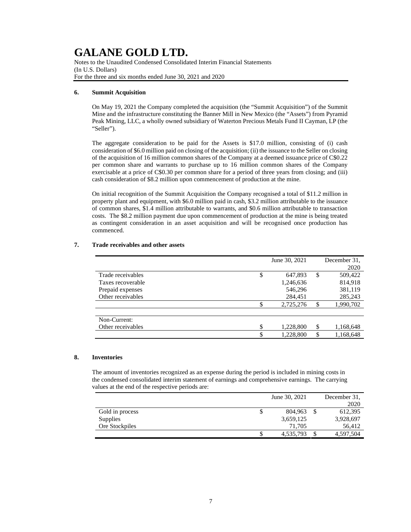Notes to the Unaudited Condensed Consolidated Interim Financial Statements (In U.S. Dollars) For the three and six months ended June 30, 2021 and 2020

### **6. Summit Acquisition**

On May 19, 2021 the Company completed the acquisition (the "Summit Acquisition") of the Summit Mine and the infrastructure constituting the Banner Mill in New Mexico (the "Assets") from Pyramid Peak Mining, LLC, a wholly owned subsidiary of Waterton Precious Metals Fund II Cayman, LP (the "Seller").

The aggregate consideration to be paid for the Assets is \$17.0 million, consisting of (i) cash consideration of \$6.0 million paid on closing of the acquisition; (ii) the issuance to the Seller on closing of the acquisition of 16 million common shares of the Company at a deemed issuance price of C\$0.22 per common share and warrants to purchase up to 16 million common shares of the Company exercisable at a price of C\$0.30 per common share for a period of three years from closing; and (iii) cash consideration of \$8.2 million upon commencement of production at the mine.

On initial recognition of the Summit Acquisition the Company recognised a total of \$11.2 million in property plant and equipment, with \$6.0 million paid in cash, \$3.2 million attributable to the issuance of common shares, \$1.4 million attributable to warrants, and \$0.6 million attributable to transaction costs. The \$8.2 million payment due upon commencement of production at the mine is being treated as contingent consideration in an asset acquisition and will be recognised once production has commenced.

|                         | June 30, 2021 | December 31.    |
|-------------------------|---------------|-----------------|
|                         |               | 2020            |
| Trade receivables<br>\$ | 647,893       | \$<br>509,422   |
| Taxes recoverable       | 1,246,636     | 814,918         |
| Prepaid expenses        | 546,296       | 381,119         |
| Other receivables       | 284.451       | 285,243         |
| S                       | 2,725,276     | \$<br>1,990,702 |
|                         |               |                 |
| Non-Current:            |               |                 |
| \$<br>Other receivables | 1,228,800     | \$<br>1,168,648 |
| \$                      | 1,228,800     | \$<br>1,168,648 |

### **7. Trade receivables and other assets**

#### **8. Inventories**

The amount of inventories recognized as an expense during the period is included in mining costs in the condensed consolidated interim statement of earnings and comprehensive earnings. The carrying values at the end of the respective periods are:

|                 | June 30, 2021   | December 31. |
|-----------------|-----------------|--------------|
|                 |                 | 2020         |
| Gold in process | \$<br>804.963   | 612,395      |
| <b>Supplies</b> | 3,659,125       | 3,928,697    |
| Ore Stockpiles  | 71.705          | 56.412       |
|                 | \$<br>4,535,793 | 4,597,504    |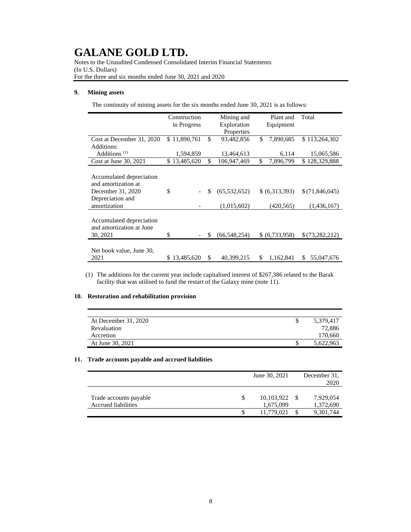Notes to the Unaudited Condensed Consolidated Interim Financial Statements (In U.S. Dollars) For the three and six months ended June 30, 2021 and 2020

### **9. Mining assets**

The continuity of mining assets for the six months ended June 30, 2021 is as follows:

|                                                      | Construction     | Mining and           |    | Plant and      | Total             |  |  |  |  |  |  |  |  |  |  |  |  |  |           |  |  |  |  |
|------------------------------------------------------|------------------|----------------------|----|----------------|-------------------|--|--|--|--|--|--|--|--|--|--|--|--|--|-----------|--|--|--|--|
|                                                      | in Progress      | Exploration          |    |                |                   |  |  |  |  |  |  |  |  |  |  |  |  |  | Equipment |  |  |  |  |
|                                                      |                  | Properties           |    |                |                   |  |  |  |  |  |  |  |  |  |  |  |  |  |           |  |  |  |  |
| Cost at December 31, 2020                            | \$11,890,761     | \$<br>93,482,856     | \$ | 7,890,685      | \$113,264,302     |  |  |  |  |  |  |  |  |  |  |  |  |  |           |  |  |  |  |
| Additions:                                           |                  |                      |    |                |                   |  |  |  |  |  |  |  |  |  |  |  |  |  |           |  |  |  |  |
| Additions $(1)$                                      | 1,594,859        | 13,464,613           |    | 6,114          | 15,065,586        |  |  |  |  |  |  |  |  |  |  |  |  |  |           |  |  |  |  |
| Cost at June 30, 2021                                | \$13,485,620     | \$<br>106,947,469    | \$ | 7,896,799      | 128,329,888<br>S. |  |  |  |  |  |  |  |  |  |  |  |  |  |           |  |  |  |  |
|                                                      |                  |                      |    |                |                   |  |  |  |  |  |  |  |  |  |  |  |  |  |           |  |  |  |  |
| Accumulated depreciation<br>and amortization at      |                  |                      |    |                |                   |  |  |  |  |  |  |  |  |  |  |  |  |  |           |  |  |  |  |
| December 31, 2020                                    | \$               | \$<br>(65, 532, 652) |    | \$ (6,313,393) | \$(71,846,045)    |  |  |  |  |  |  |  |  |  |  |  |  |  |           |  |  |  |  |
| Depreciation and                                     |                  |                      |    |                |                   |  |  |  |  |  |  |  |  |  |  |  |  |  |           |  |  |  |  |
| amortization                                         |                  | (1,015,602)          |    | (420, 565)     | (1,436,167)       |  |  |  |  |  |  |  |  |  |  |  |  |  |           |  |  |  |  |
|                                                      |                  |                      |    |                |                   |  |  |  |  |  |  |  |  |  |  |  |  |  |           |  |  |  |  |
| Accumulated depreciation<br>and amortization at June |                  |                      |    |                |                   |  |  |  |  |  |  |  |  |  |  |  |  |  |           |  |  |  |  |
| 30, 2021                                             | \$               | \$<br>(66,548,254)   |    | \$ (6,733,958) | \$(73,282,212)    |  |  |  |  |  |  |  |  |  |  |  |  |  |           |  |  |  |  |
|                                                      |                  |                      |    |                |                   |  |  |  |  |  |  |  |  |  |  |  |  |  |           |  |  |  |  |
| Net book value, June 30,<br>2021                     | 13,485,620<br>S. | \$<br>40,399,215     | \$ | 1,162,841      | 55,047,676<br>\$  |  |  |  |  |  |  |  |  |  |  |  |  |  |           |  |  |  |  |

(1) The additions for the current year include capitalised interest of \$267,386 related to the Barak facility that was utilised to fund the restart of the Galaxy mine (note 11).

### **10. Restoration and rehabilitation provision**

| At December 31, 2020 | 5,379,417 |
|----------------------|-----------|
| Revaluation          | 72,886    |
| Accretion            | 170,660   |
| At June 30, 2021     | 5,622,963 |

### **11. Trade accounts payable and accrued liabilities**

|                                               |     | June 30, 2021           | December 31.<br>2020   |
|-----------------------------------------------|-----|-------------------------|------------------------|
| Trade accounts payable<br>Accrued liabilities | \$. | 10,103,922<br>1,675,099 | 7,929,054<br>1,372,690 |
|                                               |     | 11,779,021              | 9,301,744              |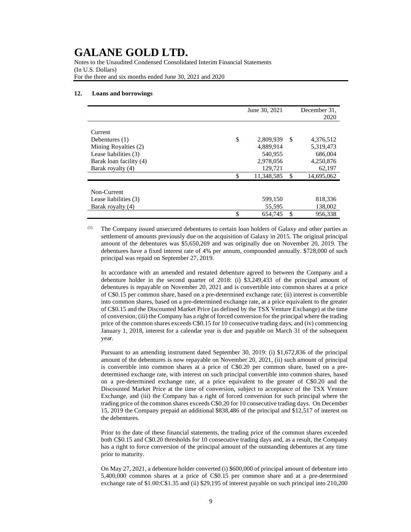Notes to the Unaudited Condensed Consolidated Interim Financial Statements (In U.S. Dollars) For the three and six months ended June 30, 2021 and 2020

#### **12. Loans and borrowings**

|                         | June 30, 2021    |               | December 31. |
|-------------------------|------------------|---------------|--------------|
|                         |                  |               | 2020         |
|                         |                  |               |              |
| Current                 |                  |               |              |
| Debentures $(1)$        | \$<br>2,809,939  | <sup>\$</sup> | 4,376,512    |
| Mining Royalties (2)    | 4,889,914        |               | 5,319,473    |
| Lease liabilities (3)   | 540.955          |               | 686,004      |
| Barak loan facility (4) | 2,978,056        |               | 4,250,876    |
| Barak royalty (4)       | 129,721          |               | 62,197       |
|                         | \$<br>11,348,585 | \$            | 14,695,062   |
|                         |                  |               |              |
| Non-Current             |                  |               |              |
| Lease liabilities (3)   | 599.150          |               | 818,336      |
| Barak royalty (4)       | 55,595           |               | 138,002      |
|                         | \$<br>654.745    | \$            | 956.338      |

(1) The Company issued unsecured debentures to certain loan holders of Galaxy and other parties as settlement of amounts previously due on the acquisition of Galaxy in 2015. The original principal amount of the debentures was \$5,650,269 and was originally due on November 20, 2019. The debentures have a fixed interest rate of 4% per annum, compounded annually. \$728,000 of such principal was repaid on September 27, 2019.

In accordance with an amended and restated debenture agreed to between the Company and a debenture holder in the second quarter of 2018: (i) \$3,249,433 of the principal amount of debentures is repayable on November 20, 2021 and is convertible into common shares at a price of C\$0.15 per common share, based on a pre-determined exchange rate; (ii) interest is convertible into common shares, based on a pre-determined exchange rate, at a price equivalent to the greater of C\$0.15 and the Discounted Market Price (as defined by the TSX Venture Exchange) at the time of conversion; (iii) the Company has a right of forced conversion for the principal where the trading price of the common shares exceeds C\$0.15 for 10 consecutive trading days; and (iv) commencing January 1, 2018, interest for a calendar year is due and payable on March 31 of the subsequent year.

Pursuant to an amending instrument dated September 30, 2019: (i) \$1,672,836 of the principal amount of the debentures is now repayable on November 20, 2021, (ii) such amount of principal is convertible into common shares at a price of C\$0.20 per common share, based on a predetermined exchange rate, with interest on such principal convertible into common shares, based on a pre-determined exchange rate, at a price equivalent to the greater of C\$0.20 and the Discounted Market Price at the time of conversion, subject to acceptance of the TSX Venture Exchange, and (iii) the Company has a right of forced conversion for such principal where the trading price of the common shares exceeds C\$0.20 for 10 consecutive trading days. On December 15, 2019 the Company prepaid an additional \$838,486 of the principal and \$12,517 of interest on the debentures.

Prior to the date of these financial statements, the trading price of the common shares exceeded both C\$0.15 and C\$0.20 thresholds for 10 consecutive trading days and, as a result, the Company has a right to force conversion of the principal amount of the outstanding debentures at any time prior to maturity.

On May 27, 2021, a debenture holder converted (i) \$600,000 of principal amount of debenture into 5,400,000 common shares at a price of C\$0.15 per common share and at a pre-determined exchange rate of \$1.00:C\$1.35 and (ii) \$29,195 of interest payable on such principal into 210,200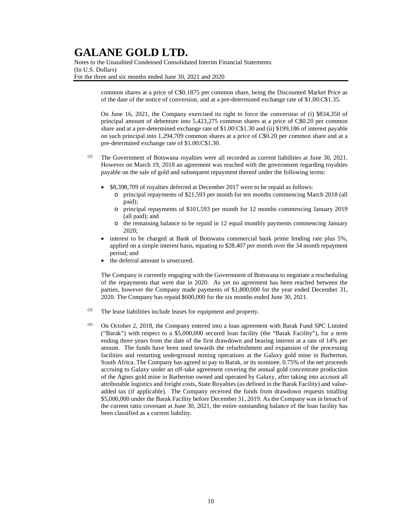Notes to the Unaudited Condensed Consolidated Interim Financial Statements (In U.S. Dollars) For the three and six months ended June 30, 2021 and 2020

> common shares at a price of C\$0.1875 per common share, being the Discounted Market Price as of the date of the notice of conversion, and at a pre-determined exchange rate of \$1.00:C\$1.35.

> On June 16, 2021, the Company exercised its right to force the conversion of (i) \$834,350 of principal amount of debenture into 5,423,275 common shares at a price of C\$0.20 per common share and at a pre-determined exchange rate of \$1.00:C\$1.30 and (ii) \$199,186 of interest payable on such principal into 1,294,709 common shares at a price of C\$0.20 per common share and at a pre-determined exchange rate of \$1.00:C\$1.30.

- $(2)$  The Government of Botswana royalties were all recorded as current liabilities at June 30, 2021. However on March 19, 2018 an agreement was reached with the government regarding royalties payable on the sale of gold and subsequent repayment thereof under the following terms:
	- \$8,398,709 of royalties deferred at December 2017 were to be repaid as follows:
		- o principal repayments of \$21,593 per month for ten months commencing March 2018 (all paid);
		- o principal repayments of \$101,593 per month for 12 months commencing January 2019 (all paid); and
		- o the remaining balance to be repaid in 12 equal monthly payments commencing January 2020;
	- interest to be charged at Bank of Botswana commercial bank prime lending rate plus 5%, applied on a simple interest basis, equating to \$28,407 per month over the 34 month repayment period; and
	- the deferral amount is unsecured.

The Company is currently engaging with the Government of Botswana to negotiate a rescheduling of the repayments that were due in 2020. As yet no agreement has been reached between the parties, however the Company made payments of \$1,800,000 for the year ended December 31, 2020. The Company has repaid \$600,000 for the six months ended June 30, 2021.

- (3) The lease liabilities include leases for equipment and property.
- (4) On October 2, 2018, the Company entered into a loan agreement with Barak Fund SPC Limited ("Barak") with respect to a \$5,000,000 secured loan facility (the "Barak Facility"), for a term ending three years from the date of the first drawdown and bearing interest at a rate of 14% per annum. The funds have been used towards the refurbishment and expansion of the processing facilities and restarting underground mining operations at the Galaxy gold mine in Barberton, South Africa. The Company has agreed to pay to Barak, or its nominee, 0.75% of the net proceeds accruing to Galaxy under an off-take agreement covering the annual gold concentrate production of the Agnes gold mine in Barberton owned and operated by Galaxy, after taking into account all attributable logistics and freight costs, State Royalties (as defined in the Barak Facility) and valueadded tax (if applicable). The Company received the funds from drawdown requests totalling \$5,000,000 under the Barak Facility before December 31, 2019. As the Company was in breach of the current ratio covenant at June 30, 2021, the entire outstanding balance of the loan facility has been classified as a current liability.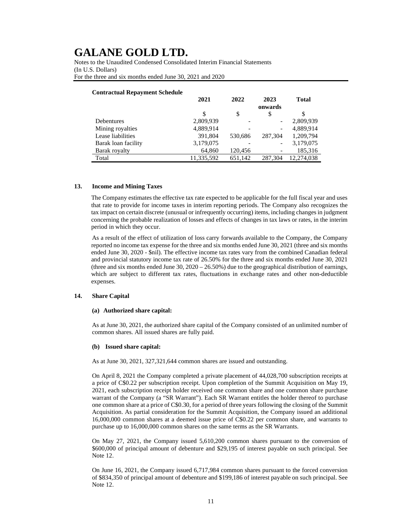Notes to the Unaudited Condensed Consolidated Interim Financial Statements (In U.S. Dollars) For the three and six months ended June 30, 2021 and 2020

### **Contractual Repayment Schedule**

|                     | 2021       | 2022    | 2023                         | <b>Total</b> |
|---------------------|------------|---------|------------------------------|--------------|
|                     |            |         | onwards                      |              |
|                     | \$         | \$      | \$                           |              |
| <b>Debentures</b>   | 2,809,939  |         | -                            | 2,809,939    |
| Mining royalties    | 4,889,914  |         | $\qquad \qquad \blacksquare$ | 4,889,914    |
| Lease liabilities   | 391,804    | 530.686 | 287,304                      | 1,209,794    |
| Barak loan facility | 3,179,075  |         | $\qquad \qquad$              | 3,179,075    |
| Barak royalty       | 64,860     | 120,456 |                              | 185,316      |
| Total               | 11,335,592 | 651,142 | 287.304                      | 12.274.038   |

#### **13. Income and Mining Taxes**

The Company estimates the effective tax rate expected to be applicable for the full fiscal year and uses that rate to provide for income taxes in interim reporting periods. The Company also recognizes the tax impact on certain discrete (unusual or infrequently occurring) items, including changes in judgment concerning the probable realization of losses and effects of changes in tax laws or rates, in the interim period in which they occur.

As a result of the effect of utilization of loss carry forwards available to the Company, the Company reported no income tax expense for the three and six months ended June 30, 2021 (three and six months ended June 30, 2020 - \$nil). The effective income tax rates vary from the combined Canadian federal and provincial statutory income tax rate of 26.50% for the three and six months ended June 30, 2021 (three and six months ended June 30,  $2020 - 26.50\%$ ) due to the geographical distribution of earnings, which are subject to different tax rates, fluctuations in exchange rates and other non-deductible expenses.

#### **14. Share Capital**

#### **(a) Authorized share capital:**

As at June 30, 2021, the authorized share capital of the Company consisted of an unlimited number of common shares. All issued shares are fully paid.

#### **(b) Issued share capital:**

As at June 30, 2021, 327,321,644 common shares are issued and outstanding.

On April 8, 2021 the Company completed a private placement of 44,028,700 subscription receipts at a price of C\$0.22 per subscription receipt. Upon completion of the Summit Acquisition on May 19, 2021, each subscription receipt holder received one common share and one common share purchase warrant of the Company (a "SR Warrant"). Each SR Warrant entitles the holder thereof to purchase one common share at a price of C\$0.30, for a period of three years following the closing of the Summit Acquisition. As partial consideration for the Summit Acquisition, the Company issued an additional 16,000,000 common shares at a deemed issue price of C\$0.22 per common share, and warrants to purchase up to 16,000,000 common shares on the same terms as the SR Warrants.

On May 27, 2021, the Company issued 5,610,200 common shares pursuant to the conversion of \$600,000 of principal amount of debenture and \$29,195 of interest payable on such principal. See Note 12.

On June 16, 2021, the Company issued 6,717,984 common shares pursuant to the forced conversion of \$834,350 of principal amount of debenture and \$199,186 of interest payable on such principal. See Note 12.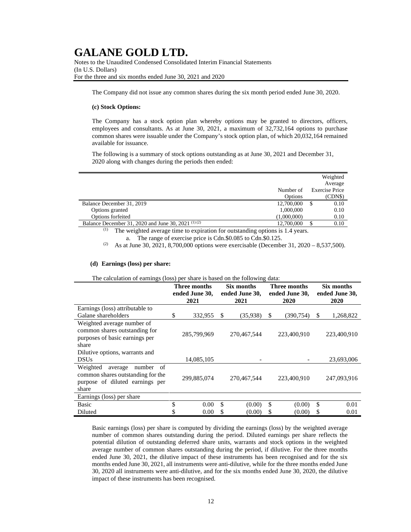Notes to the Unaudited Condensed Consolidated Interim Financial Statements (In U.S. Dollars) For the three and six months ended June 30, 2021 and 2020

The Company did not issue any common shares during the six month period ended June 30, 2020.

### **(c) Stock Options:**

The Company has a stock option plan whereby options may be granted to directors, officers, employees and consultants. As at June 30, 2021, a maximum of 32,732,164 options to purchase common shares were issuable under the Company's stock option plan, of which 20,032,164 remained available for issuance.

The following is a summary of stock options outstanding as at June 30, 2021 and December 31, 2020 along with changes during the periods then ended:

|                                                                                             |             |    | Weighted              |
|---------------------------------------------------------------------------------------------|-------------|----|-----------------------|
|                                                                                             |             |    | Average               |
|                                                                                             | Number of   |    | <b>Exercise Price</b> |
|                                                                                             | Options     |    | (CDN\$)               |
| Balance December 31, 2019                                                                   | 12,700,000  | S. | 0.10                  |
| Options granted                                                                             | 1,000,000   |    | 0.10                  |
| Options forfeited                                                                           | (1,000,000) |    | 0.10                  |
| Balance December 31, 2020 and June 30, 2021 <sup>(1)(2)</sup>                               | 12,700,000  |    | 0.10                  |
| $\frac{1}{1}$ . The weighted exerce time to evolvation for externaling entires is 1.4 years |             |    |                       |

The weighted average time to expiration for outstanding options is 1.4 years. a. The range of exercise price is Cdn.\$0.085 to Cdn.\$0.125.

<sup>(2)</sup> As at June 30, 2021, 8,700,000 options were exercisable (December 31, 2020 – 8,537,500).

### **(d) Earnings (loss) per share:**

|                                                                                                                      | Three months<br>ended June 30, |             | Six months<br>ended June 30, |    | Three months<br>ended June 30, | Six months<br>ended June 30, |             |  |
|----------------------------------------------------------------------------------------------------------------------|--------------------------------|-------------|------------------------------|----|--------------------------------|------------------------------|-------------|--|
|                                                                                                                      |                                | 2021        | 2021                         |    | 2020                           |                              | 2020        |  |
| Earnings (loss) attributable to                                                                                      |                                |             |                              |    |                                |                              |             |  |
| Galane shareholders                                                                                                  | \$                             | 332,955     | \$<br>(35,938)               | S  | (390,754)                      | \$                           | 1,268,822   |  |
| Weighted average number of<br>common shares outstanding for<br>purposes of basic earnings per<br>share               |                                | 285,799,969 | 270,467,544                  |    | 223,400,910                    |                              | 223,400,910 |  |
| Dilutive options, warrants and                                                                                       |                                |             |                              |    |                                |                              |             |  |
| <b>DSUs</b>                                                                                                          |                                | 14,085,105  |                              |    |                                |                              | 23,693,006  |  |
| Weighted<br>number<br>average<br>of<br>common shares outstanding for the<br>purpose of diluted earnings per<br>share |                                | 299,885,074 | 270,467,544                  |    | 223,400,910                    |                              | 247,093,916 |  |
| Earnings (loss) per share                                                                                            |                                |             |                              |    |                                |                              |             |  |
| <b>Basic</b>                                                                                                         | \$                             | 0.00        | \$<br>(0.00)                 | \$ | (0.00)                         | \$                           | 0.01        |  |
| Diluted                                                                                                              | \$                             | 0.00        | \$<br>(0.00)                 | \$ | (0.00)                         | \$                           | 0.01        |  |

Basic earnings (loss) per share is computed by dividing the earnings (loss) by the weighted average number of common shares outstanding during the period. Diluted earnings per share reflects the potential dilution of outstanding deferred share units, warrants and stock options in the weighted average number of common shares outstanding during the period, if dilutive. For the three months ended June 30, 2021, the dilutive impact of these instruments has been recognised and for the six months ended June 30, 2021, all instruments were anti-dilutive, while for the three months ended June 30, 2020 all instruments were anti-dilutive, and for the six months ended June 30, 2020, the dilutive impact of these instruments has been recognised.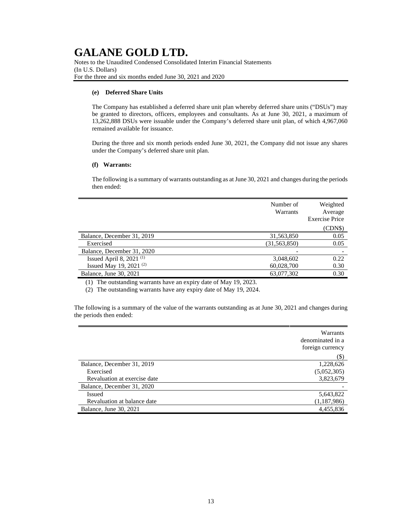Notes to the Unaudited Condensed Consolidated Interim Financial Statements (In U.S. Dollars) For the three and six months ended June 30, 2021 and 2020

### **(e) Deferred Share Units**

The Company has established a deferred share unit plan whereby deferred share units ("DSUs") may be granted to directors, officers, employees and consultants. As at June 30, 2021, a maximum of 13,262,888 DSUs were issuable under the Company's deferred share unit plan, of which 4,967,060 remained available for issuance.

During the three and six month periods ended June 30, 2021, the Company did not issue any shares under the Company's deferred share unit plan.

#### **(f) Warrants:**

The following is a summary of warrants outstanding as at June 30, 2021 and changes during the periods then ended:

|                            | Number of<br>Warrants | Weighted<br>Average<br><b>Exercise Price</b> |
|----------------------------|-----------------------|----------------------------------------------|
|                            |                       | (CDNS)                                       |
| Balance, December 31, 2019 | 31,563,850            | 0.05                                         |
| Exercised                  | (31, 563, 850)        | 0.05                                         |
| Balance, December 31, 2020 |                       |                                              |
| Issued April 8, 2021 $(1)$ | 3,048,602             | 0.22                                         |
| Issued May 19, 2021 $(2)$  | 60,028,700            | 0.30                                         |
| Balance, June 30, 2021     | 63,077,302            | 0.30                                         |

(1) The outstanding warrants have an expiry date of May 19, 2023.

(2) The outstanding warrants have any expiry date of May 19, 2024.

The following is a summary of the value of the warrants outstanding as at June 30, 2021 and changes during the periods then ended:

|                              | Warrants<br>denominated in a<br>foreign currency |
|------------------------------|--------------------------------------------------|
|                              | (\$)                                             |
| Balance, December 31, 2019   | 1,228,626                                        |
| Exercised                    | (5,052,305)                                      |
| Revaluation at exercise date | 3,823,679                                        |
| Balance, December 31, 2020   |                                                  |
| Issued                       | 5,643,822                                        |
| Revaluation at balance date  | (1,187,986)                                      |
| Balance, June 30, 2021       | 4,455,836                                        |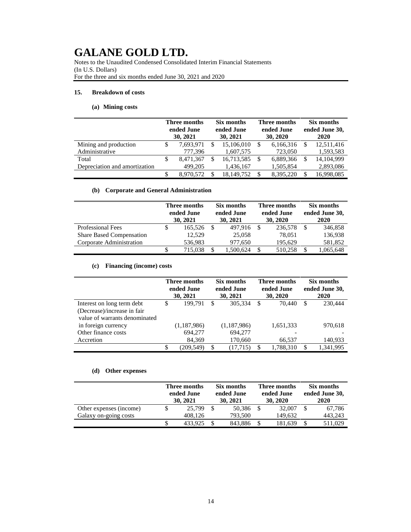Notes to the Unaudited Condensed Consolidated Interim Financial Statements (In U.S. Dollars) For the three and six months ended June 30, 2021 and 2020

### **15. Breakdown of costs**

### **(a) Mining costs**

|                               | <b>Three months</b><br>ended June<br>30, 2021 |           | Six months<br>ended June<br>30, 2021 |            | <b>Three months</b><br>ended June<br>30, 2020 |           | Six months<br>ended June 30,<br>2020 |              |
|-------------------------------|-----------------------------------------------|-----------|--------------------------------------|------------|-----------------------------------------------|-----------|--------------------------------------|--------------|
| Mining and production         | S                                             | 7,693,971 | \$.                                  | 15,106,010 | S                                             | 6,166,316 |                                      | 12,511,416   |
| Administrative                |                                               | 777.396   |                                      | 1,607,575  |                                               | 723,050   |                                      | 1,593,583    |
| Total                         | S                                             | 8,471,367 | S                                    | 16,713,585 | -S                                            | 6,889,366 |                                      | 14, 104, 999 |
| Depreciation and amortization |                                               | 499.205   |                                      | 1,436,167  |                                               | 1,505,854 |                                      | 2,893,086    |
|                               |                                               | 8.970.572 |                                      | 18,149,752 | S                                             | 8.395.220 |                                      | 16,998,085   |

### **(b) Corporate and General Administration**

|                                 |   | Three months<br>ended June<br>30, 2021 |  | Six months<br>ended June<br>30, 2021 |  | Three months<br>ended June<br>30, 2020 |  | Six months<br>ended June 30,<br>2020 |  |
|---------------------------------|---|----------------------------------------|--|--------------------------------------|--|----------------------------------------|--|--------------------------------------|--|
| <b>Professional Fees</b>        | S | 165,526                                |  | 497.916                              |  | 236,578                                |  | 346,858                              |  |
| <b>Share Based Compensation</b> |   | 12.529                                 |  | 25,058                               |  | 78.051                                 |  | 136,938                              |  |
| Corporate Administration        |   | 536,983                                |  | 977,650                              |  | 195,629                                |  | 581,852                              |  |
|                                 | S | 715.038                                |  | 1,500,624                            |  | 510,258                                |  | 1,065,648                            |  |

### **(c) Financing (income) costs**

|                                                              | Three months<br>ended June<br>30, 2021 |             | Six months<br>ended June<br>30, 2021 |             | Three months<br>ended June<br>30, 2020 |           | Six months<br>ended June 30,<br>2020 |           |
|--------------------------------------------------------------|----------------------------------------|-------------|--------------------------------------|-------------|----------------------------------------|-----------|--------------------------------------|-----------|
| Interest on long term debt                                   | \$                                     | 199.791     | \$                                   | 305,334     | S                                      | 70.440    | <b>S</b>                             | 230,444   |
| (Decrease)/increase in fair<br>value of warrants denominated |                                        |             |                                      |             |                                        |           |                                      |           |
|                                                              |                                        |             |                                      |             |                                        |           |                                      |           |
| in foreign currency                                          |                                        | (1,187,986) |                                      | (1,187,986) |                                        | 1,651,333 |                                      | 970,618   |
| Other finance costs                                          |                                        | 694,277     |                                      | 694,277     |                                        |           |                                      |           |
| Accretion                                                    |                                        | 84,369      |                                      | 170,660     |                                        | 66,537    |                                      | 140,933   |
|                                                              |                                        | (209.549)   | \$                                   | (17, 715)   | \$.                                    | 1,788,310 |                                      | 1.341.995 |

### **(d) Other expenses**

|                         | Three months<br>ended June<br>30, 2021 |    | Six months<br>ended June<br>30, 2021 |  | Three months<br>ended June<br>30, 2020 |  | Six months<br>ended June 30,<br>2020 |  |
|-------------------------|----------------------------------------|----|--------------------------------------|--|----------------------------------------|--|--------------------------------------|--|
| Other expenses (income) | 25,799                                 | \$ | 50.386                               |  | 32,007                                 |  | 67.786                               |  |
| Galaxy on-going costs   | 408.126                                |    | 793,500                              |  | 149.632                                |  | 443.243                              |  |
|                         | 433.925                                |    | 843.886                              |  | 181.639                                |  | 511.029                              |  |